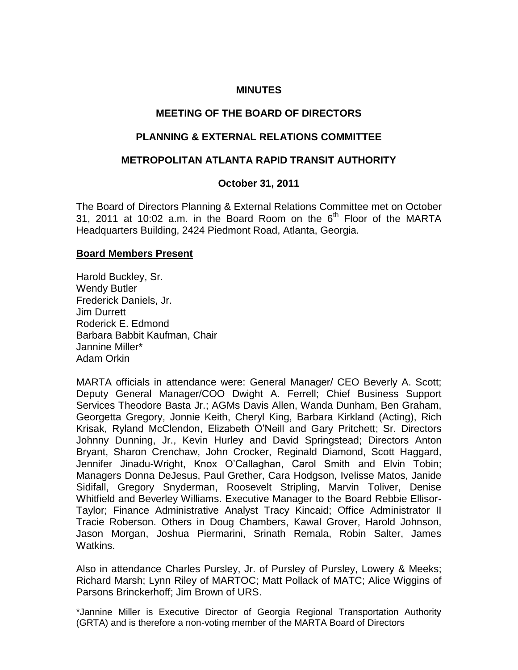#### **MINUTES**

## **MEETING OF THE BOARD OF DIRECTORS**

### **PLANNING & EXTERNAL RELATIONS COMMITTEE**

### **METROPOLITAN ATLANTA RAPID TRANSIT AUTHORITY**

### **October 31, 2011**

The Board of Directors Planning & External Relations Committee met on October 31, 2011 at 10:02 a.m. in the Board Room on the  $6<sup>th</sup>$  Floor of the MARTA Headquarters Building, 2424 Piedmont Road, Atlanta, Georgia.

#### **Board Members Present**

Harold Buckley, Sr. Wendy Butler Frederick Daniels, Jr. Jim Durrett Roderick E. Edmond Barbara Babbit Kaufman, Chair Jannine Miller\* Adam Orkin

MARTA officials in attendance were: General Manager/ CEO Beverly A. Scott; Deputy General Manager/COO Dwight A. Ferrell; Chief Business Support Services Theodore Basta Jr.; AGMs Davis Allen, Wanda Dunham, Ben Graham, Georgetta Gregory, Jonnie Keith, Cheryl King, Barbara Kirkland (Acting), Rich Krisak, Ryland McClendon, Elizabeth O'Neill and Gary Pritchett; Sr. Directors Johnny Dunning, Jr., Kevin Hurley and David Springstead; Directors Anton Bryant, Sharon Crenchaw, John Crocker, Reginald Diamond, Scott Haggard, Jennifer Jinadu-Wright, Knox O'Callaghan, Carol Smith and Elvin Tobin; Managers Donna DeJesus, Paul Grether, Cara Hodgson, Ivelisse Matos, Janide Sidifall, Gregory Snyderman, Roosevelt Stripling, Marvin Toliver, Denise Whitfield and Beverley Williams. Executive Manager to the Board Rebbie Ellisor-Taylor; Finance Administrative Analyst Tracy Kincaid; Office Administrator II Tracie Roberson. Others in Doug Chambers, Kawal Grover, Harold Johnson, Jason Morgan, Joshua Piermarini, Srinath Remala, Robin Salter, James Watkins.

Also in attendance Charles Pursley, Jr. of Pursley of Pursley, Lowery & Meeks; Richard Marsh; Lynn Riley of MARTOC; Matt Pollack of MATC; Alice Wiggins of Parsons Brinckerhoff; Jim Brown of URS.

\*Jannine Miller is Executive Director of Georgia Regional Transportation Authority (GRTA) and is therefore a non-voting member of the MARTA Board of Directors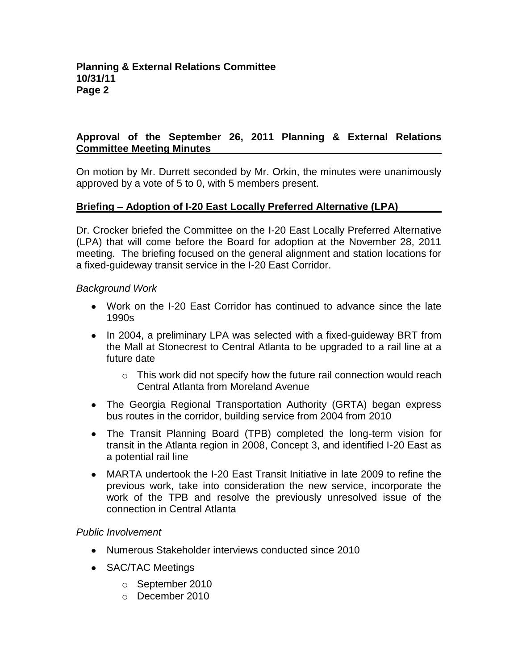# **Approval of the September 26, 2011 Planning & External Relations Committee Meeting Minutes**

On motion by Mr. Durrett seconded by Mr. Orkin, the minutes were unanimously approved by a vote of 5 to 0, with 5 members present.

# **Briefing – Adoption of I-20 East Locally Preferred Alternative (LPA)**

Dr. Crocker briefed the Committee on the I-20 East Locally Preferred Alternative (LPA) that will come before the Board for adoption at the November 28, 2011 meeting. The briefing focused on the general alignment and station locations for a fixed-guideway transit service in the I-20 East Corridor.

### *Background Work*

- Work on the I-20 East Corridor has continued to advance since the late 1990s
- In 2004, a preliminary LPA was selected with a fixed-quideway BRT from the Mall at Stonecrest to Central Atlanta to be upgraded to a rail line at a future date
	- $\circ$  This work did not specify how the future rail connection would reach Central Atlanta from Moreland Avenue
- The Georgia Regional Transportation Authority (GRTA) began express bus routes in the corridor, building service from 2004 from 2010
- The Transit Planning Board (TPB) completed the long-term vision for transit in the Atlanta region in 2008, Concept 3, and identified I-20 East as a potential rail line
- MARTA undertook the I-20 East Transit Initiative in late 2009 to refine the previous work, take into consideration the new service, incorporate the work of the TPB and resolve the previously unresolved issue of the connection in Central Atlanta

## *Public Involvement*

- Numerous Stakeholder interviews conducted since 2010
- **SAC/TAC Meetings** 
	- o September 2010
	- o December 2010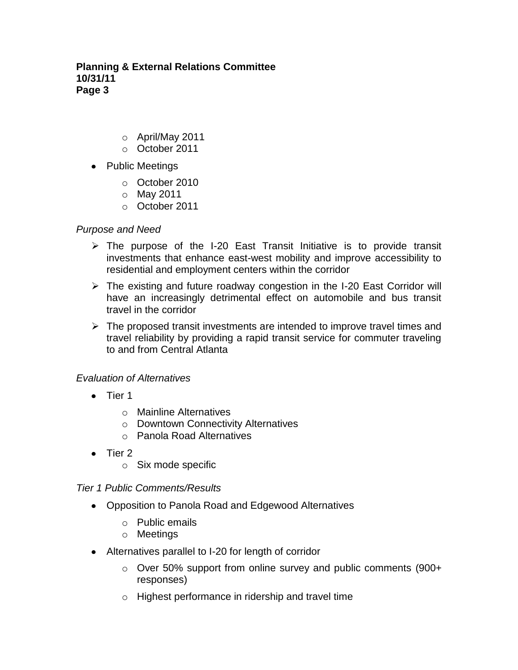# **Planning & External Relations Committee 10/31/11 Page 3**

- o April/May 2011
- o October 2011
- Public Meetings
	- o October 2010
	- o May 2011
	- o October 2011

## *Purpose and Need*

- $\triangleright$  The purpose of the I-20 East Transit Initiative is to provide transit investments that enhance east-west mobility and improve accessibility to residential and employment centers within the corridor
- $\triangleright$  The existing and future roadway congestion in the I-20 East Corridor will have an increasingly detrimental effect on automobile and bus transit travel in the corridor
- $\triangleright$  The proposed transit investments are intended to improve travel times and travel reliability by providing a rapid transit service for commuter traveling to and from Central Atlanta

# *Evaluation of Alternatives*

- Tier 1
	- o Mainline Alternatives
	- o Downtown Connectivity Alternatives
	- o Panola Road Alternatives
- $\bullet$  Tier 2
	- o Six mode specific

## *Tier 1 Public Comments/Results*

- Opposition to Panola Road and Edgewood Alternatives
	- o Public emails
	- o Meetings
- Alternatives parallel to I-20 for length of corridor
	- o Over 50% support from online survey and public comments (900+ responses)
	- o Highest performance in ridership and travel time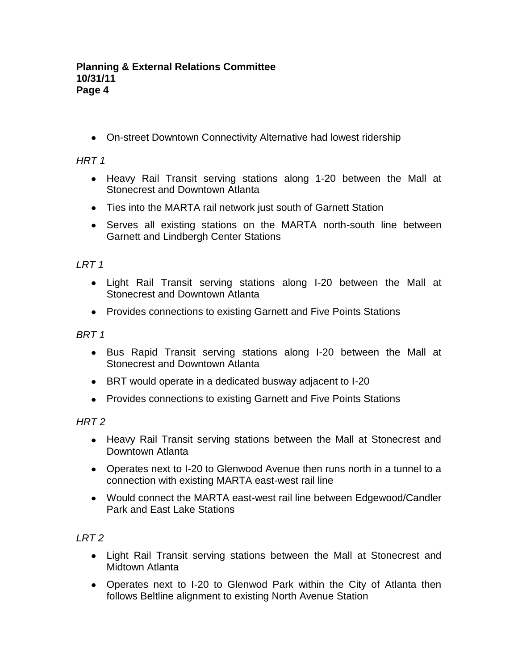On-street Downtown Connectivity Alternative had lowest ridership

# *HRT 1*

- Heavy Rail Transit serving stations along 1-20 between the Mall at Stonecrest and Downtown Atlanta
- Ties into the MARTA rail network just south of Garnett Station
- Serves all existing stations on the MARTA north-south line between Garnett and Lindbergh Center Stations

# *LRT 1*

- Light Rail Transit serving stations along I-20 between the Mall at Stonecrest and Downtown Atlanta
- Provides connections to existing Garnett and Five Points Stations

*BRT 1*

- Bus Rapid Transit serving stations along I-20 between the Mall at Stonecrest and Downtown Atlanta
- BRT would operate in a dedicated busway adjacent to I-20
- Provides connections to existing Garnett and Five Points Stations

*HRT 2*

- Heavy Rail Transit serving stations between the Mall at Stonecrest and Downtown Atlanta
- Operates next to I-20 to Glenwood Avenue then runs north in a tunnel to a connection with existing MARTA east-west rail line
- Would connect the MARTA east-west rail line between Edgewood/Candler Park and East Lake Stations

# *LRT 2*

- Light Rail Transit serving stations between the Mall at Stonecrest and Midtown Atlanta
- Operates next to I-20 to Glenwod Park within the City of Atlanta then follows Beltline alignment to existing North Avenue Station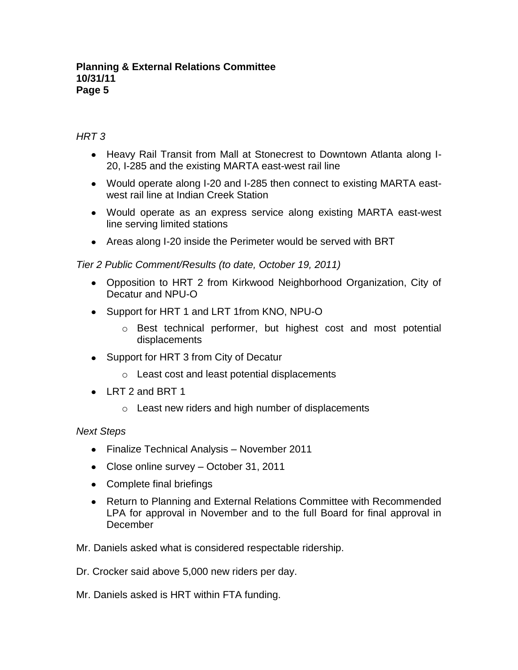### **Planning & External Relations Committee 10/31/11 Page 5**

# *HRT 3*

- Heavy Rail Transit from Mall at Stonecrest to Downtown Atlanta along I-20, I-285 and the existing MARTA east-west rail line
- Would operate along I-20 and I-285 then connect to existing MARTA eastwest rail line at Indian Creek Station
- Would operate as an express service along existing MARTA east-west line serving limited stations
- Areas along I-20 inside the Perimeter would be served with BRT

*Tier 2 Public Comment/Results (to date, October 19, 2011)*

- Opposition to HRT 2 from Kirkwood Neighborhood Organization, City of Decatur and NPU-O
- Support for HRT 1 and LRT 1from KNO, NPU-O
	- $\circ$  Best technical performer, but highest cost and most potential displacements
- Support for HRT 3 from City of Decatur
	- o Least cost and least potential displacements
- LRT 2 and BRT 1
	- o Least new riders and high number of displacements

## *Next Steps*

- Finalize Technical Analysis November 2011
- Close online survey October 31, 2011
- Complete final briefings
- Return to Planning and External Relations Committee with Recommended LPA for approval in November and to the full Board for final approval in December

Mr. Daniels asked what is considered respectable ridership.

Dr. Crocker said above 5,000 new riders per day.

Mr. Daniels asked is HRT within FTA funding.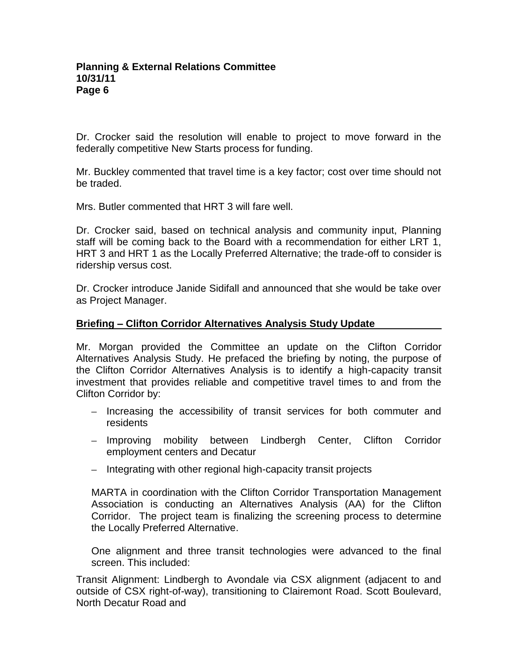Dr. Crocker said the resolution will enable to project to move forward in the federally competitive New Starts process for funding.

Mr. Buckley commented that travel time is a key factor; cost over time should not be traded.

Mrs. Butler commented that HRT 3 will fare well.

Dr. Crocker said, based on technical analysis and community input, Planning staff will be coming back to the Board with a recommendation for either LRT 1, HRT 3 and HRT 1 as the Locally Preferred Alternative; the trade-off to consider is ridership versus cost.

Dr. Crocker introduce Janide Sidifall and announced that she would be take over as Project Manager.

### **Briefing – Clifton Corridor Alternatives Analysis Study Update**

Mr. Morgan provided the Committee an update on the Clifton Corridor Alternatives Analysis Study. He prefaced the briefing by noting, the purpose of the Clifton Corridor Alternatives Analysis is to identify a high-capacity transit investment that provides reliable and competitive travel times to and from the Clifton Corridor by:

- Increasing the accessibility of transit services for both commuter and residents
- Improving mobility between Lindbergh Center, Clifton Corridor employment centers and Decatur
- Integrating with other regional high-capacity transit projects

MARTA in coordination with the Clifton Corridor Transportation Management Association is conducting an Alternatives Analysis (AA) for the Clifton Corridor. The project team is finalizing the screening process to determine the Locally Preferred Alternative.

One alignment and three transit technologies were advanced to the final screen. This included:

Transit Alignment: Lindbergh to Avondale via CSX alignment (adjacent to and outside of CSX right-of-way), transitioning to Clairemont Road. Scott Boulevard, North Decatur Road and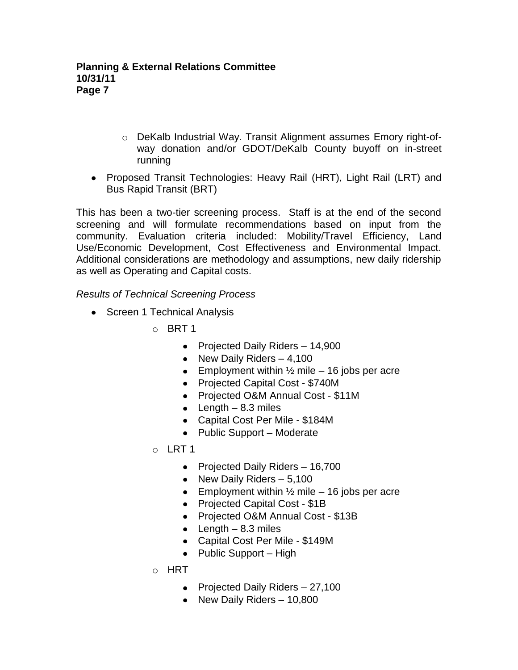- o DeKalb Industrial Way. Transit Alignment assumes Emory right-ofway donation and/or GDOT/DeKalb County buyoff on in-street running
- Proposed Transit Technologies: Heavy Rail (HRT), Light Rail (LRT) and Bus Rapid Transit (BRT)

This has been a two-tier screening process. Staff is at the end of the second screening and will formulate recommendations based on input from the community. Evaluation criteria included: Mobility/Travel Efficiency, Land Use/Economic Development, Cost Effectiveness and Environmental Impact. Additional considerations are methodology and assumptions, new daily ridership as well as Operating and Capital costs.

*Results of Technical Screening Process*

- Screen 1 Technical Analysis
	- $\circ$  BRT 1
		- Projected Daily Riders 14,900
		- New Daily Riders  $-4,100$
		- **Employment within**  $\frac{1}{2}$  **mile 16 jobs per acre**
		- Projected Capital Cost \$740M
		- Projected O&M Annual Cost \$11M
		- $\bullet$  Length 8.3 miles
		- Capital Cost Per Mile \$184M
		- Public Support Moderate
	- o LRT 1
		- Projected Daily Riders 16,700
		- New Daily Riders  $-5,100$
		- Employment within  $\frac{1}{2}$  mile 16 jobs per acre
		- Projected Capital Cost \$1B
		- Projected O&M Annual Cost \$13B
		- Length  $-8.3$  miles
		- Capital Cost Per Mile \$149M
		- Public Support High
	- o HRT
		- Projected Daily Riders 27,100
		- New Daily Riders 10,800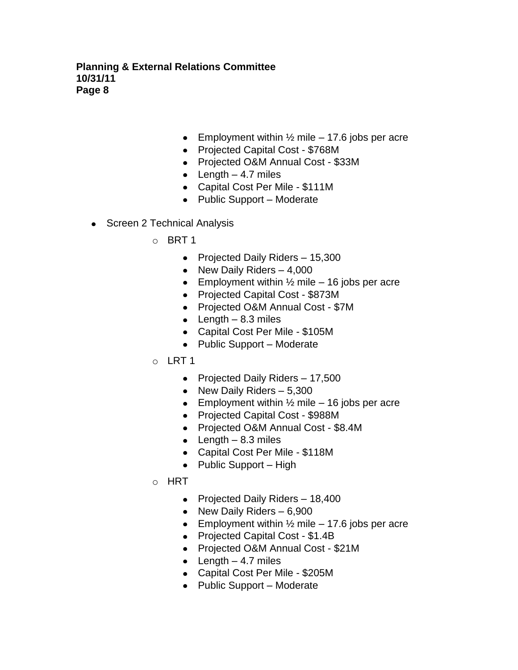**Planning & External Relations Committee 10/31/11 Page 8**

- Employment within  $\frac{1}{2}$  mile 17.6 jobs per acre
- Projected Capital Cost \$768M
- Projected O&M Annual Cost \$33M
- Length  $-4.7$  miles
- Capital Cost Per Mile \$111M
- Public Support Moderate
- Screen 2 Technical Analysis
	- o BRT 1
		- Projected Daily Riders 15,300
		- New Daily Riders  $-4,000$
		- **Employment within**  $\frac{1}{2}$  **mile 16 jobs per acre**
		- Projected Capital Cost \$873M
		- Projected O&M Annual Cost \$7M
		- Length  $-8.3$  miles
		- Capital Cost Per Mile \$105M
		- Public Support Moderate
	- o LRT 1
		- Projected Daily Riders 17,500
		- New Daily Riders  $-5,300$
		- Employment within  $\frac{1}{2}$  mile 16 jobs per acre
		- Projected Capital Cost \$988M
		- Projected O&M Annual Cost \$8.4M
		- Length  $-8.3$  miles
		- Capital Cost Per Mile \$118M
		- $\bullet$  Public Support High
	- o HRT
		- Projected Daily Riders 18,400
		- New Daily Riders  $-6,900$
		- **Employment within**  $\frac{1}{2}$  **mile 17.6 jobs per acre**
		- Projected Capital Cost \$1.4B
		- Projected O&M Annual Cost \$21M
		- $\bullet$  Length  $-4.7$  miles
		- Capital Cost Per Mile \$205M
		- Public Support Moderate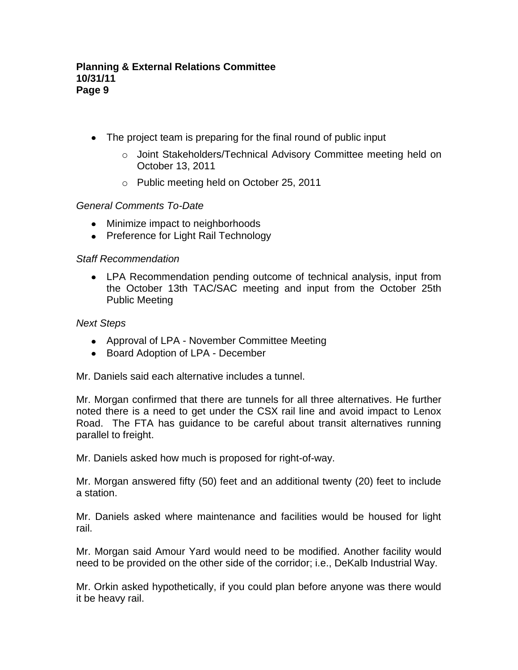- The project team is preparing for the final round of public input
	- o Joint Stakeholders/Technical Advisory Committee meeting held on October 13, 2011
	- o Public meeting held on October 25, 2011

## *General Comments To-Date*

- Minimize impact to neighborhoods
- Preference for Light Rail Technology

## *Staff Recommendation*

LPA Recommendation pending outcome of technical analysis, input from the October 13th TAC/SAC meeting and input from the October 25th Public Meeting

## *Next Steps*

- Approval of LPA November Committee Meeting
- Board Adoption of LPA December

Mr. Daniels said each alternative includes a tunnel.

Mr. Morgan confirmed that there are tunnels for all three alternatives. He further noted there is a need to get under the CSX rail line and avoid impact to Lenox Road. The FTA has guidance to be careful about transit alternatives running parallel to freight.

Mr. Daniels asked how much is proposed for right-of-way.

Mr. Morgan answered fifty (50) feet and an additional twenty (20) feet to include a station.

Mr. Daniels asked where maintenance and facilities would be housed for light rail.

Mr. Morgan said Amour Yard would need to be modified. Another facility would need to be provided on the other side of the corridor; i.e., DeKalb Industrial Way.

Mr. Orkin asked hypothetically, if you could plan before anyone was there would it be heavy rail.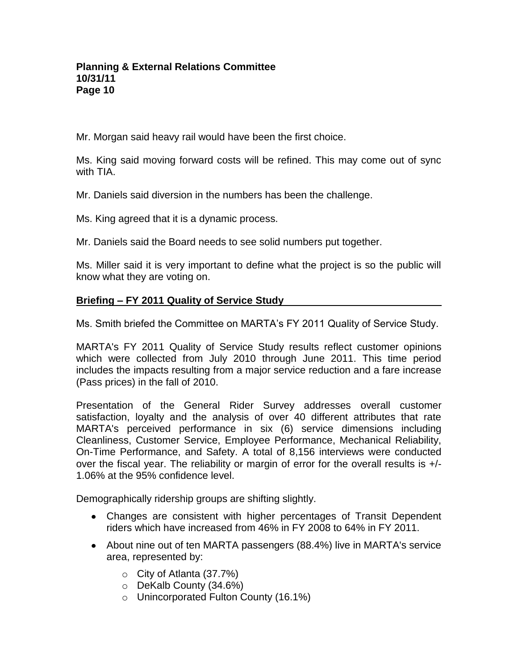Mr. Morgan said heavy rail would have been the first choice.

Ms. King said moving forward costs will be refined. This may come out of sync with TIA.

Mr. Daniels said diversion in the numbers has been the challenge.

Ms. King agreed that it is a dynamic process.

Mr. Daniels said the Board needs to see solid numbers put together.

Ms. Miller said it is very important to define what the project is so the public will know what they are voting on.

# **Briefing – FY 2011 Quality of Service Study**

Ms. Smith briefed the Committee on MARTA's FY 2011 Quality of Service Study.

MARTA's FY 2011 Quality of Service Study results reflect customer opinions which were collected from July 2010 through June 2011. This time period includes the impacts resulting from a major service reduction and a fare increase (Pass prices) in the fall of 2010.

Presentation of the General Rider Survey addresses overall customer satisfaction, loyalty and the analysis of over 40 different attributes that rate MARTA's perceived performance in six (6) service dimensions including Cleanliness, Customer Service, Employee Performance, Mechanical Reliability, On-Time Performance, and Safety. A total of 8,156 interviews were conducted over the fiscal year. The reliability or margin of error for the overall results is +/- 1.06% at the 95% confidence level.

Demographically ridership groups are shifting slightly.

- Changes are consistent with higher percentages of Transit Dependent riders which have increased from 46% in FY 2008 to 64% in FY 2011.
- About nine out of ten MARTA passengers (88.4%) live in MARTA's service area, represented by:
	- o City of Atlanta (37.7%)
	- o DeKalb County (34.6%)
	- o Unincorporated Fulton County (16.1%)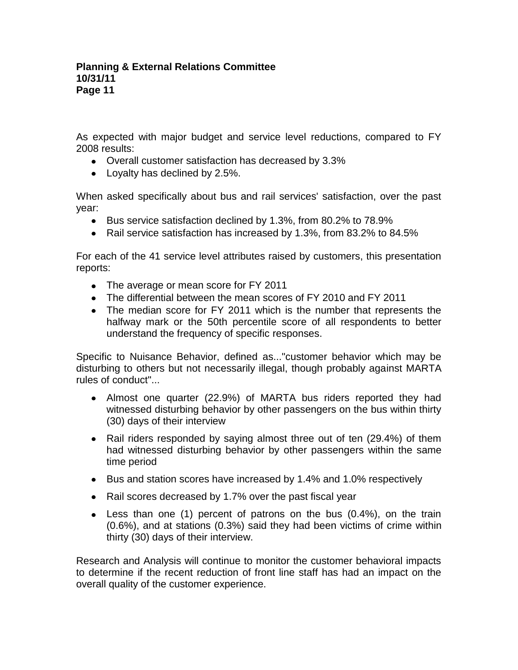As expected with major budget and service level reductions, compared to FY 2008 results:

- Overall customer satisfaction has decreased by 3.3%
- Loyalty has declined by 2.5%.

When asked specifically about bus and rail services' satisfaction, over the past year:

- Bus service satisfaction declined by 1.3%, from 80.2% to 78.9%
- Rail service satisfaction has increased by 1.3%, from 83.2% to 84.5%

For each of the 41 service level attributes raised by customers, this presentation reports:

- The average or mean score for FY 2011
- The differential between the mean scores of FY 2010 and FY 2011
- The median score for FY 2011 which is the number that represents the halfway mark or the 50th percentile score of all respondents to better understand the frequency of specific responses.

Specific to Nuisance Behavior, defined as..."customer behavior which may be disturbing to others but not necessarily illegal, though probably against MARTA rules of conduct"...

- Almost one quarter (22.9%) of MARTA bus riders reported they had witnessed disturbing behavior by other passengers on the bus within thirty (30) days of their interview
- Rail riders responded by saying almost three out of ten (29.4%) of them had witnessed disturbing behavior by other passengers within the same time period
- Bus and station scores have increased by 1.4% and 1.0% respectively
- Rail scores decreased by 1.7% over the past fiscal year
- Less than one (1) percent of patrons on the bus (0.4%), on the train (0.6%), and at stations (0.3%) said they had been victims of crime within thirty (30) days of their interview.

Research and Analysis will continue to monitor the customer behavioral impacts to determine if the recent reduction of front line staff has had an impact on the overall quality of the customer experience.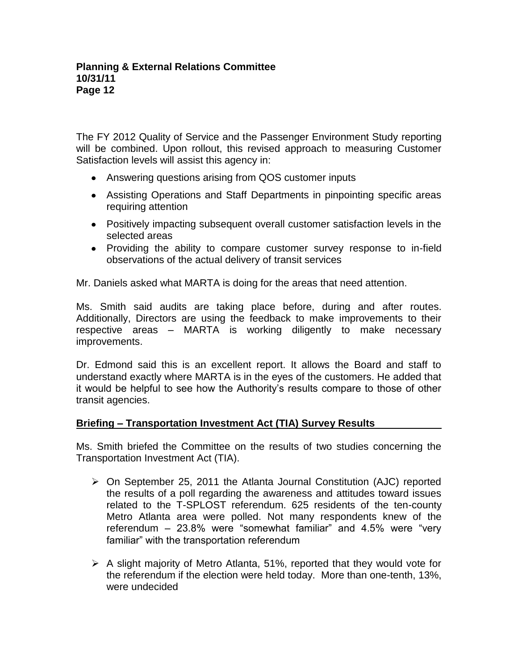The FY 2012 Quality of Service and the Passenger Environment Study reporting will be combined. Upon rollout, this revised approach to measuring Customer Satisfaction levels will assist this agency in:

- Answering questions arising from QOS customer inputs
- Assisting Operations and Staff Departments in pinpointing specific areas requiring attention
- Positively impacting subsequent overall customer satisfaction levels in the selected areas
- Providing the ability to compare customer survey response to in-field observations of the actual delivery of transit services

Mr. Daniels asked what MARTA is doing for the areas that need attention.

Ms. Smith said audits are taking place before, during and after routes. Additionally, Directors are using the feedback to make improvements to their respective areas – MARTA is working diligently to make necessary improvements.

Dr. Edmond said this is an excellent report. It allows the Board and staff to understand exactly where MARTA is in the eyes of the customers. He added that it would be helpful to see how the Authority's results compare to those of other transit agencies.

## **Briefing – Transportation Investment Act (TIA) Survey Results**

Ms. Smith briefed the Committee on the results of two studies concerning the Transportation Investment Act (TIA).

- $\triangleright$  On September 25, 2011 the Atlanta Journal Constitution (AJC) reported the results of a poll regarding the awareness and attitudes toward issues related to the T-SPLOST referendum. 625 residents of the ten-county Metro Atlanta area were polled. Not many respondents knew of the referendum – 23.8% were "somewhat familiar" and 4.5% were "very familiar" with the transportation referendum
- $\triangleright$  A slight majority of Metro Atlanta, 51%, reported that they would vote for the referendum if the election were held today. More than one-tenth, 13%, were undecided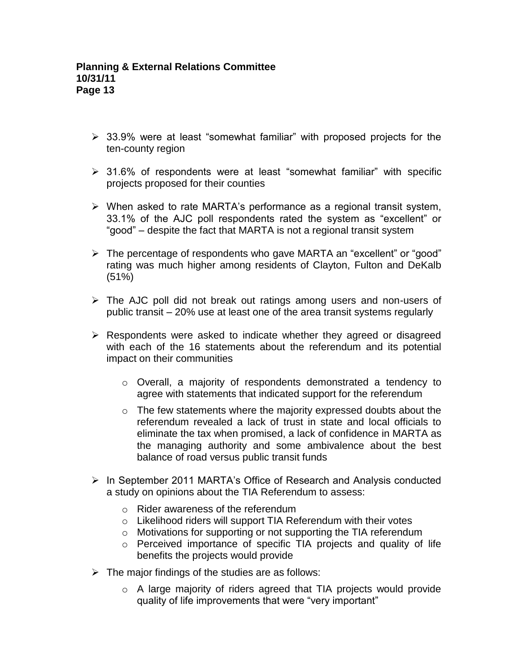- $\geq$  33.9% were at least "somewhat familiar" with proposed projects for the ten-county region
- $\geq$  31.6% of respondents were at least "somewhat familiar" with specific projects proposed for their counties
- $\triangleright$  When asked to rate MARTA's performance as a regional transit system, 33.1% of the AJC poll respondents rated the system as "excellent" or "good" – despite the fact that MARTA is not a regional transit system
- The percentage of respondents who gave MARTA an "excellent" or "good" rating was much higher among residents of Clayton, Fulton and DeKalb (51%)
- $\triangleright$  The AJC poll did not break out ratings among users and non-users of public transit – 20% use at least one of the area transit systems regularly
- $\triangleright$  Respondents were asked to indicate whether they agreed or disagreed with each of the 16 statements about the referendum and its potential impact on their communities
	- o Overall, a majority of respondents demonstrated a tendency to agree with statements that indicated support for the referendum
	- $\circ$  The few statements where the majority expressed doubts about the referendum revealed a lack of trust in state and local officials to eliminate the tax when promised, a lack of confidence in MARTA as the managing authority and some ambivalence about the best balance of road versus public transit funds
- $\triangleright$  In September 2011 MARTA's Office of Research and Analysis conducted a study on opinions about the TIA Referendum to assess:
	- o Rider awareness of the referendum
	- o Likelihood riders will support TIA Referendum with their votes
	- o Motivations for supporting or not supporting the TIA referendum
	- o Perceived importance of specific TIA projects and quality of life benefits the projects would provide
- $\triangleright$  The major findings of the studies are as follows:
	- o A large majority of riders agreed that TIA projects would provide quality of life improvements that were "very important"